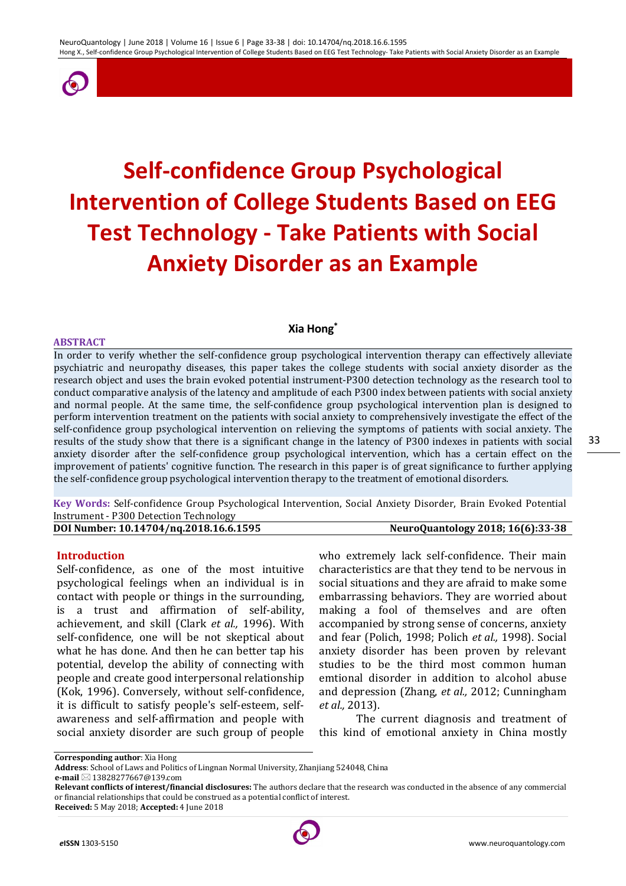

# **Self-confidence Group Psychological Intervention of College Students Based on EEG Test Technology - Take Patients with Social Anxiety Disorder as an Example**

# **Xia Hong\***

In order to verify whether the self-confidence group psychological intervention therapy can effectively alleviate psychiatric and neuropathy diseases, this paper takes the college students with social anxiety disorder as the research object and uses the brain evoked potential instrument-P300 detection technology as the research tool to conduct comparative analysis of the latency and amplitude of each P300 index between patients with social anxiety and normal people. At the same time, the self-confidence group psychological intervention plan is designed to perform intervention treatment on the patients with social anxiety to comprehensively investigate the effect of the self-confidence group psychological intervention on relieving the symptoms of patients with social anxiety. The results of the study show that there is a significant change in the latency of P300 indexes in patients with social anxiety disorder after the self-confidence group psychological intervention, which has a certain effect on the improvement of patients' cognitive function. The research in this paper is of great significance to further applying the self-confidence group psychological intervention therapy to the treatment of emotional disorders.

**Key Words:** Self-confidence Group Psychological Intervention, Social Anxiety Disorder, Brain Evoked Potential Instrument - P300 Detection Technology **DOI Number: 10.14704/nq.2018.16.6.1595 NeuroQuantology 2018; 16(6):33-38**

#### **Introduction**

**ABSTRACT**

Self-confidence, as one of the most intuitive psychological feelings when an individual is in contact with people or things in the surrounding, is a trust and affirmation of self-ability, achievement, and skill (Clark *et al.,* 1996). With self-confidence, one will be not skeptical about what he has done. And then he can better tap his potential, develop the ability of connecting with people and create good interpersonal relationship (Kok, 1996). Conversely, without self-confidence, it is difficult to satisfy people's self-esteem, selfawareness and self-affirmation and people with social anxiety disorder are such group of people

who extremely lack self-confidence. Their main characteristics are that they tend to be nervous in social situations and they are afraid to make some embarrassing behaviors. They are worried about making a fool of themselves and are often accompanied by strong sense of concerns, anxiety and fear (Polich, 1998; Polich *et al.,* 1998). Social anxiety disorder has been proven by relevant studies to be the third most common human emtional disorder in addition to alcohol abuse and depression (Zhang, *et al.,* 2012; Cunningham *et al.,* 2013).

The current diagnosis and treatment of this kind of emotional anxiety in China mostly

**Corresponding author**: Xia Hong

**e-mail** 13828277667@139.com

**Received:** 5 May 2018; **Accepted:** 4 June 2018



**Address**: School of Laws and Politics of Lingnan Normal University, Zhanjiang 524048, China

**Relevant conflicts of interest/financial disclosures:** The authors declare that the research was conducted in the absence of any commercial or financial relationships that could be construed as a potential conflict of interest.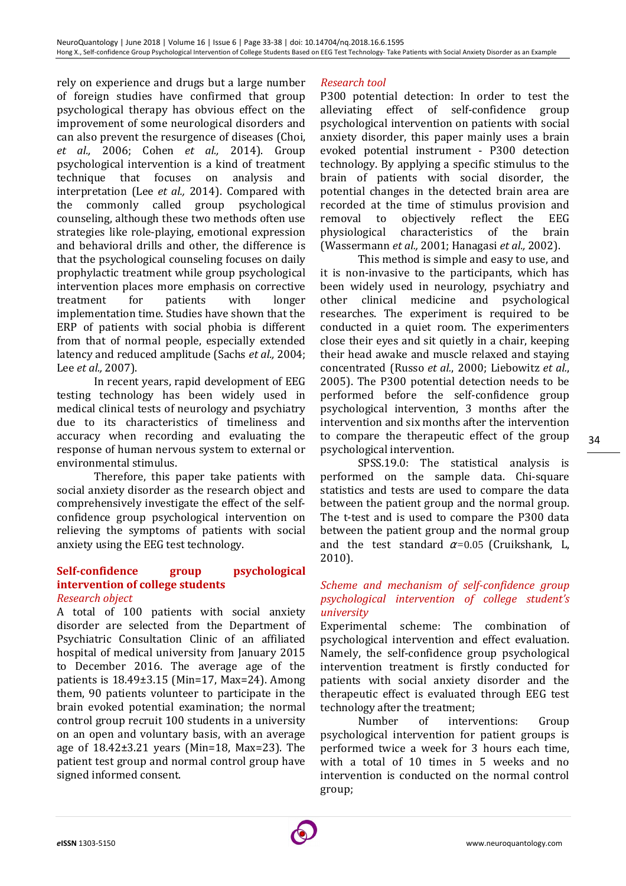rely on experience and drugs but a large number of foreign studies have confirmed that group psychological therapy has obvious effect on the improvement of some neurological disorders and can also prevent the resurgence of diseases (Choi, *et al.,* 2006; Cohen *et al.,* 2014). Group psychological intervention is a kind of treatment technique that focuses on analysis and interpretation (Lee *et al.,* 2014). Compared with the commonly called group psychological counseling, although these two methods often use strategies like role-playing, emotional expression and behavioral drills and other, the difference is that the psychological counseling focuses on daily prophylactic treatment while group psychological intervention places more emphasis on corrective treatment for patients with longer implementation time. Studies have shown that the ERP of patients with social phobia is different from that of normal people, especially extended latency and reduced amplitude (Sachs *et al.,* 2004; Lee *et al.,* 2007).

In recent years, rapid development of EEG testing technology has been widely used in medical clinical tests of neurology and psychiatry due to its characteristics of timeliness and accuracy when recording and evaluating the response of human nervous system to external or environmental stimulus.

Therefore, this paper take patients with social anxiety disorder as the research object and comprehensively investigate the effect of the selfconfidence group psychological intervention on relieving the symptoms of patients with social anxiety using the EEG test technology.

# **Self-confidence group psychological intervention of college students**

#### *Research object*

A total of 100 patients with social anxiety disorder are selected from the Department of Psychiatric Consultation Clinic of an affiliated hospital of medical university from January 2015 to December 2016. The average age of the patients is 18.49±3.15 (Min=17, Max=24). Among them, 90 patients volunteer to participate in the brain evoked potential examination; the normal control group recruit 100 students in a university on an open and voluntary basis, with an average age of 18.42±3.21 years (Min=18, Max=23). The patient test group and normal control group have signed informed consent.

#### *Research tool*

P300 potential detection: In order to test the alleviating effect of self-confidence group psychological intervention on patients with social anxiety disorder, this paper mainly uses a brain evoked potential instrument - P300 detection technology. By applying a specific stimulus to the brain of patients with social disorder, the potential changes in the detected brain area are recorded at the time of stimulus provision and removal to objectively reflect the EEG physiological characteristics of the brain (Wassermann *et al.,* 2001; Hanagasi *et al.,* 2002).

This method is simple and easy to use, and it is non-invasive to the participants, which has been widely used in neurology, psychiatry and other clinical medicine and psychological researches. The experiment is required to be conducted in a quiet room. The experimenters close their eyes and sit quietly in a chair, keeping their head awake and muscle relaxed and staying concentrated (Russo *et al.*, 2000; Liebowitz *et al.*, 2005). The P300 potential detection needs to be performed before the self-confidence group psychological intervention, 3 months after the intervention and six months after the intervention to compare the therapeutic effect of the group psychological intervention.

SPSS.19.0: The statistical analysis is performed on the sample data. Chi-square statistics and tests are used to compare the data between the patient group and the normal group. The t-test and is used to compare the P300 data between the patient group and the normal group and the test standard  $\alpha$ =0.05 (Cruikshank, L, 2010).

# *Scheme and mechanism of self-confidence group psychological intervention of college student's university*

Experimental scheme: The combination of psychological intervention and effect evaluation. Namely, the self-confidence group psychological intervention treatment is firstly conducted for patients with social anxiety disorder and the therapeutic effect is evaluated through EEG test technology after the treatment;

Number of interventions: Group psychological intervention for patient groups is performed twice a week for 3 hours each time, with a total of 10 times in 5 weeks and no intervention is conducted on the normal control group;

34

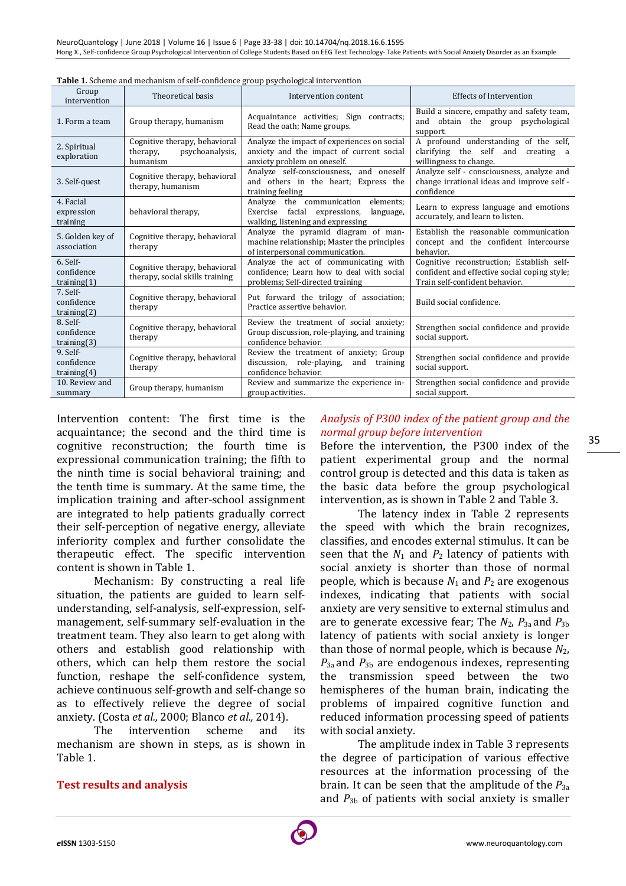| Group<br>intervention                    | Theoretical basis                                                        | Intervention content                                                                                                   | <b>Effects of Intervention</b>                                                                                              |  |
|------------------------------------------|--------------------------------------------------------------------------|------------------------------------------------------------------------------------------------------------------------|-----------------------------------------------------------------------------------------------------------------------------|--|
| 1. Form a team                           | Group therapy, humanism                                                  | Acquaintance activities; Sign contracts;<br>Read the oath; Name groups.                                                | Build a sincere, empathy and safety team,<br>and obtain the group psychological<br>support.                                 |  |
| 2. Spiritual<br>exploration              | Cognitive therapy, behavioral<br>psychoanalysis,<br>therapy,<br>humanism | Analyze the impact of experiences on social<br>anxiety and the impact of current social<br>anxiety problem on oneself. | A profound understanding of the self,<br>clarifying the self and creating a<br>willingness to change.                       |  |
| 3. Self-quest                            | Cognitive therapy, behavioral<br>therapy, humanism                       | Analyze self-consciousness, and oneself<br>and others in the heart; Express the<br>training feeling                    | Analyze self - consciousness, analyze and<br>change irrational ideas and improve self -<br>confidence                       |  |
| 4. Facial<br>expression<br>training      | behavioral therapy,                                                      | Analyze the communication elements;<br>Exercise facial expressions,<br>language,<br>walking, listening and expressing  | Learn to express language and emotions<br>accurately, and learn to listen.                                                  |  |
| 5. Golden key of<br>association          | Cognitive therapy, behavioral<br>therapy                                 | Analyze the pyramid diagram of man-<br>machine relationship; Master the principles<br>of interpersonal communication.  | Establish the reasonable communication<br>concept and the confident intercourse<br>behavior.                                |  |
| 6. Self-<br>confidence<br>training $(1)$ | Cognitive therapy, behavioral<br>therapy, social skills training         | Analyze the act of communicating with<br>confidence; Learn how to deal with social<br>problems; Self-directed training | Cognitive reconstruction; Establish self-<br>confident and effective social coping style;<br>Train self-confident behavior. |  |
| 7. Self-<br>confidence<br>training $(2)$ | Cognitive therapy, behavioral<br>therapy                                 | Put forward the trilogy of association;<br>Practice assertive behavior.                                                | Build social confidence.                                                                                                    |  |
| 8. Self-<br>confidence<br>training(3)    | Cognitive therapy, behavioral<br>therapy                                 | Review the treatment of social anxiety;<br>Group discussion, role-playing, and training<br>confidence behavior.        | Strengthen social confidence and provide<br>social support.                                                                 |  |
| 9. Self-<br>confidence<br>training $(4)$ | Cognitive therapy, behavioral<br>therapy                                 | Review the treatment of anxiety; Group<br>discussion, role-playing,<br>and training<br>confidence behavior.            | Strengthen social confidence and provide<br>social support.                                                                 |  |
| 10. Review and<br>summary                | Group therapy, humanism                                                  | Review and summarize the experience in-<br>group activities.                                                           | Strengthen social confidence and provide<br>social support.                                                                 |  |

| <b>Table 1.</b> Scheme and mechanism of self-confidence group psychological intervention |  |
|------------------------------------------------------------------------------------------|--|
|                                                                                          |  |

Intervention content: The first time is the acquaintance; the second and the third time is cognitive reconstruction; the fourth time is expressional communication training; the fifth to the ninth time is social behavioral training; and the tenth time is summary. At the same time, the implication training and after-school assignment are integrated to help patients gradually correct their self-perception of negative energy, alleviate inferiority complex and further consolidate the therapeutic effect. The specific intervention content is shown in Table 1.

Mechanism: By constructing a real life situation, the patients are guided to learn selfunderstanding, self-analysis, self-expression, selfmanagement, self-summary self-evaluation in the treatment team. They also learn to get along with others and establish good relationship with others, which can help them restore the social function, reshape the self-confidence system, achieve continuous self-growth and self-change so as to effectively relieve the degree of social anxiety. (Costa *et al.,* 2000; Blanco *et al.,* 2014).

The intervention scheme and its mechanism are shown in steps, as is shown in Table 1.

# **Test results and analysis**

# *Analysis of P300 index of the patient group and the normal group before intervention*

Before the intervention, the P300 index of the patient experimental group and the normal control group is detected and this data is taken as the basic data before the group psychological intervention, as is shown in Table 2 and Table 3.

The latency index in Table 2 represents the speed with which the brain recognizes, classifies, and encodes external stimulus. It can be seen that the  $N_1$  and  $P_2$  latency of patients with social anxiety is shorter than those of normal people, which is because  $N_1$  and  $P_2$  are exogenous indexes, indicating that patients with social anxiety are very sensitive to external stimulus and are to generate excessive fear; The  $N_2$ ,  $P_{3a}$  and  $P_{3b}$ latency of patients with social anxiety is longer than those of normal people, which is because *N*2, *P*3a and *P*3b are endogenous indexes, representing the transmission speed between the two hemispheres of the human brain, indicating the problems of impaired cognitive function and reduced information processing speed of patients with social anxiety.

The amplitude index in Table 3 represents the degree of participation of various effective resources at the information processing of the brain. It can be seen that the amplitude of the *P*3a and *P*3b of patients with social anxiety is smaller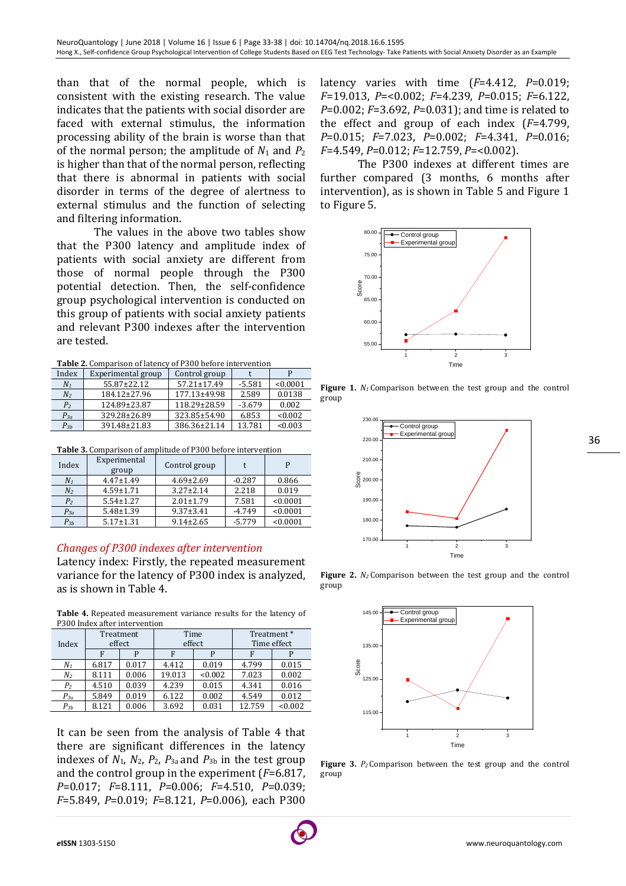than that of the normal people, which is consistent with the existing research. The value indicates that the patients with social disorder are faced with external stimulus, the information processing ability of the brain is worse than that of the normal person; the amplitude of  $N_1$  and  $P_2$ is higher than that of the normal person, reflecting that there is abnormal in patients with social disorder in terms of the degree of alertness to external stimulus and the function of selecting and filtering information.

The values in the above two tables show that the P300 latency and amplitude index of patients with social anxiety are different from those of normal people through the P300 potential detection. Then, the self-confidence group psychological intervention is conducted on this group of patients with social anxiety patients and relevant P300 indexes after the intervention are tested.

**Table 2.** Comparison of latency of P300 before intervention

| Index          | Experimental group | Control group     |          |          |
|----------------|--------------------|-------------------|----------|----------|
| $N_1$          | $55.87 \pm 22.12$  | $57.21 \pm 17.49$ | $-5.581$ | < 0.0001 |
| $N_z$          | 184.12±27.96       | 177.13±49.98      | 2.589    | 0.0138   |
| P <sub>2</sub> | 124.89±23.87       | 118.29±28.59      | $-3.679$ | 0.002    |
| $P_{3a}$       | 329.28±26.89       | 323.85±54.90      | 6.853    | < 0.002  |
| $P_{3h}$       | 391.48±21.83       | 386.36±21.14      | 13.781   | < 0.003  |

**Table 3.** Comparison of amplitude of P300 before intervention

| Index          | Experimental<br>group | Control group   |          | P        |
|----------------|-----------------------|-----------------|----------|----------|
| N1             | $4.47 \pm 1.49$       | $4.69 \pm 2.69$ | $-0.287$ | 0.866    |
| $N_z$          | $4.59 \pm 1.71$       | $3.27 \pm 2.14$ | 2.218    | 0.019    |
| P <sub>2</sub> | $5.54 \pm 1.27$       | $2.01 \pm 1.79$ | 7.581    | < 0.0001 |
| $P_{3a}$       | $5.48 \pm 1.39$       | $9.37 \pm 3.41$ | $-4.749$ | < 0.0001 |
| $P_{3b}$       | $5.17 \pm 1.31$       | $9.14 \pm 2.65$ | $-5.779$ | < 0.0001 |

# *Changes of P300 indexes after intervention*

Latency index: Firstly, the repeated measurement variance for the latency of P300 index is analyzed, as is shown in Table 4.

**Table 4.** Repeated measurement variance results for the latency of P300 Index after intervention

| Index          | Treatment<br>effect |       | Time<br>effect |         | Treatment*<br>Time effect |         |
|----------------|---------------------|-------|----------------|---------|---------------------------|---------|
|                | F                   |       |                | P       | F                         |         |
| $N_{1}$        | 6.817               | 0.017 | 4.412          | 0.019   | 4.799                     | 0.015   |
| $N_2$          | 8.111               | 0.006 | 19.013         | < 0.002 | 7.023                     | 0.002   |
| P <sub>2</sub> | 4.510               | 0.039 | 4.239          | 0.015   | 4.341                     | 0.016   |
| $P_{3a}$       | 5.849               | 0.019 | 6.122          | 0.002   | 4.549                     | 0.012   |
| $P_{3b}$       | 8.121               | 0.006 | 3.692          | 0.031   | 12.759                    | < 0.002 |

It can be seen from the analysis of Table 4 that there are significant differences in the latency indexes of  $N_1$ ,  $N_2$ ,  $P_2$ ,  $P_{3a}$  and  $P_{3b}$  in the test group and the control group in the experiment (*F*=6.817, *P*=0.017; *F*=8.111, *P*=0.006; *F*=4.510, *P*=0.039; *F*=5.849, *P*=0.019; *F*=8.121, *P*=0.006), each P300 latency varies with time (*F*=4.412, *P*=0.019; *F*=19.013, *P*=<0.002; *F*=4.239, *P*=0.015; *F*=6.122, *P*=0.002; *F*=3.692, *P*=0.031); and time is related to the effect and group of each index (*F*=4.799, *P*=0.015; *F*=7.023, *P*=0.002; *F*=4.341, *P*=0.016; *F*=4.549, *P*=0.012; *F*=12.759, *P*=<0.002).

The P300 indexes at different times are further compared (3 months, 6 months after intervention), as is shown in Table 5 and Figure 1 to Figure 5.



**Figure 1.**  $N<sub>1</sub>$  Comparison between the test group and the control group



**Figure 2.** *N2* Comparison between the test group and the control group



**Figure 3.** *P2* Comparison between the test group and the control group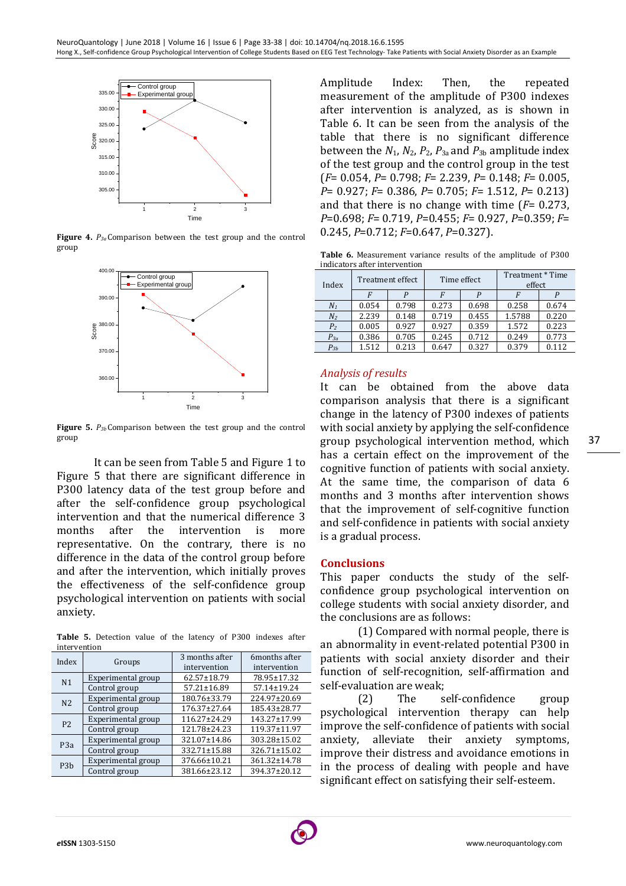

**Figure 4.** *P3a* Comparison between the test group and the control group



**Figure 5.** *P3b* Comparison between the test group and the control group

It can be seen from Table 5 and Figure 1 to Figure 5 that there are significant difference in P300 latency data of the test group before and after the self-confidence group psychological intervention and that the numerical difference 3 months after the intervention is more representative. On the contrary, there is no difference in the data of the control group before and after the intervention, which initially proves the effectiveness of the self-confidence group psychological intervention on patients with social anxiety.

**Table 5.** Detection value of the latency of P300 indexes after intervention

| Index            |                    | 3 months after | 6months after |  |
|------------------|--------------------|----------------|---------------|--|
|                  | Groups             | intervention   | intervention  |  |
| N <sub>1</sub>   | Experimental group | 62.57±18.79    | 78.95±17.32   |  |
|                  | Control group      | 57.21±16.89    | 57.14±19.24   |  |
| N <sub>2</sub>   | Experimental group | 180.76±33.79   | 224.97±20.69  |  |
|                  | Control group      | 176.37±27.64   | 185.43±28.77  |  |
| P <sub>2</sub>   | Experimental group | 116.27±24.29   | 143.27±17.99  |  |
|                  | Control group      | 121.78±24.23   | 119.37±11.97  |  |
| P <sub>3</sub> a | Experimental group | 321.07±14.86   | 303.28±15.02  |  |
|                  | Control group      | 332.71±15.88   | 326.71±15.02  |  |
| P <sub>3</sub> b | Experimental group | 376.66±10.21   | 361.32±14.78  |  |
|                  | Control group      | 381.66±23.12   | 394.37±20.12  |  |

Amplitude Index: Then, the repeated measurement of the amplitude of P300 indexes after intervention is analyzed, as is shown in Table 6. It can be seen from the analysis of the table that there is no significant difference between the  $N_1$ ,  $N_2$ ,  $P_2$ ,  $P_{3a}$  and  $P_{3b}$  amplitude index of the test group and the control group in the test (*F*= 0.054, *P*= 0.798; *F*= 2.239, *P*= 0.148; *F*= 0.005, *P*= 0.927; *F*= 0.386, *P*= 0.705; *F*= 1.512, *P*= 0.213) and that there is no change with time (*F*= 0.273, *P*=0.698; *F*= 0.719, *P*=0.455; *F*= 0.927, *P*=0.359; *F*= 0.245, *P*=0.712; *F*=0.647, *P*=0.327).

**Table 6.** Measurement variance results of the amplitude of P300 indicators after intervention

| Index          | Treatment effect |       | Time effect    |       | Treatment * Time<br>effect |       |
|----------------|------------------|-------|----------------|-------|----------------------------|-------|
|                |                  |       | $\overline{F}$ |       | F                          |       |
| N <sub>1</sub> | 0.054            | 0.798 | 0.273          | 0.698 | 0.258                      | 0.674 |
| N <sub>2</sub> | 2.239            | 0.148 | 0.719          | 0.455 | 1.5788                     | 0.220 |
| P <sub>2</sub> | 0.005            | 0.927 | 0.927          | 0.359 | 1.572                      | 0.223 |
| $P_{3a}$       | 0.386            | 0.705 | 0.245          | 0.712 | 0.249                      | 0.773 |
| $P_{3b}$       | 1.512            | 0.213 | 0.647          | 0.327 | 0.379                      | 0.112 |

#### *Analysis of results*

It can be obtained from the above data comparison analysis that there is a significant change in the latency of P300 indexes of patients with social anxiety by applying the self-confidence group psychological intervention method, which has a certain effect on the improvement of the cognitive function of patients with social anxiety. At the same time, the comparison of data 6 months and 3 months after intervention shows that the improvement of self-cognitive function and self-confidence in patients with social anxiety is a gradual process.

#### **Conclusions**

This paper conducts the study of the selfconfidence group psychological intervention on college students with social anxiety disorder, and the conclusions are as follows:

(1) Compared with normal people, there is an abnormality in event-related potential P300 in patients with social anxiety disorder and their function of self-recognition, self-affirmation and self-evaluation are weak;

(2) The self-confidence group psychological intervention therapy can help improve the self-confidence of patients with social anxiety, alleviate their anxiety symptoms, improve their distress and avoidance emotions in in the process of dealing with people and have significant effect on satisfying their self-esteem.